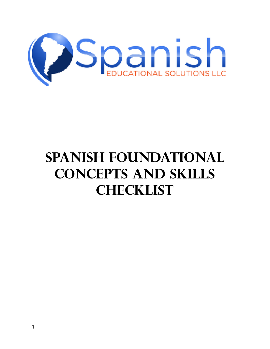

## **Spanish Foundational Concepts and Skills Checklist**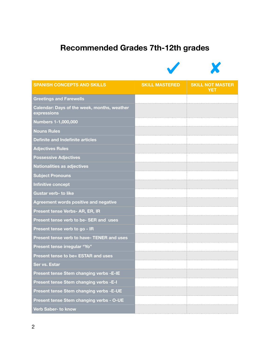## **Recommended Grades 7th-12th grades**



| <b>SPANISH CONCEPTS AND SKILLS</b>                         | <b>SKILL MASTERED</b> | <b>SKILL NOT MASTER</b><br><b>YET</b> |
|------------------------------------------------------------|-----------------------|---------------------------------------|
| <b>Greetings and Farewells</b>                             |                       |                                       |
| Calendar: Days of the week, months, weather<br>expressions |                       |                                       |
| <b>Numbers 1-1,000,000</b>                                 |                       |                                       |
| <b>Nouns Rules</b>                                         |                       |                                       |
| Definite and Indefinite articles                           |                       |                                       |
| <b>Adjectives Rules</b>                                    |                       |                                       |
| <b>Possessive Adjectives</b>                               |                       |                                       |
| <b>Nationalities as adjectives</b>                         |                       |                                       |
| <b>Subject Pronouns</b>                                    |                       |                                       |
| Infinitive concept                                         |                       |                                       |
| <b>Gustar verb- to like</b>                                |                       |                                       |
| <b>Agreement words positive and negative</b>               |                       |                                       |
| Present tense Verbs- AR, ER, IR                            |                       |                                       |
| Present tense verb to be- SER and uses                     |                       |                                       |
| Present tense verb to go - IR                              |                       |                                       |
| Present tense verb to have- TENER and uses                 |                       |                                       |
| Present tense irregular "Yo"                               |                       |                                       |
| Present tense to be= ESTAR and uses                        |                       |                                       |
| Ser vs. Estar                                              |                       |                                       |
| Present tense Stem changing verbs -E-IE                    |                       |                                       |
| <b>Present tense Stem changing verbs -E-I</b>              |                       |                                       |
| Present tense Stem changing verbs - E-UE                   |                       |                                       |
| Present tense Stem changing verbs - O-UE                   |                       |                                       |
| Verb Saber- to know                                        |                       |                                       |